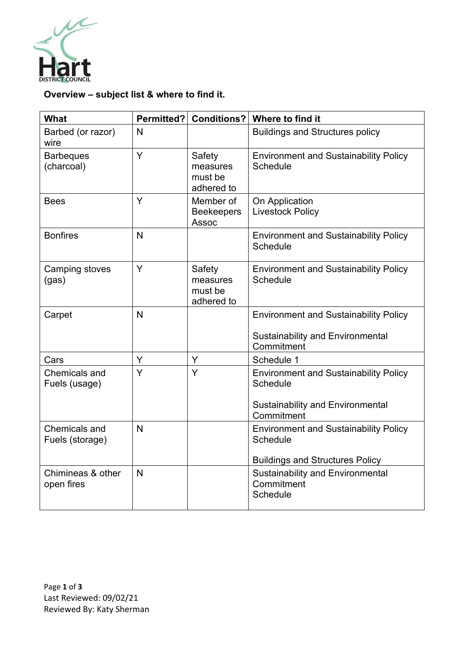

## **Overview – subject list & where to find it.**

| What                                  | Permitted?   | Conditions?                                 | Where to find it                                                                                                  |
|---------------------------------------|--------------|---------------------------------------------|-------------------------------------------------------------------------------------------------------------------|
| Barbed (or razor)<br>wire             | N            |                                             | <b>Buildings and Structures policy</b>                                                                            |
| <b>Barbeques</b><br>(charcoal)        | Y            | Safety<br>measures<br>must be<br>adhered to | <b>Environment and Sustainability Policy</b><br>Schedule                                                          |
| <b>Bees</b>                           | Y            | Member of<br><b>Beekeepers</b><br>Assoc     | On Application<br><b>Livestock Policy</b>                                                                         |
| <b>Bonfires</b>                       | N            |                                             | <b>Environment and Sustainability Policy</b><br>Schedule                                                          |
| Camping stoves<br>(gas)               | Y            | Safety<br>measures<br>must be<br>adhered to | <b>Environment and Sustainability Policy</b><br>Schedule                                                          |
| Carpet                                | N            |                                             | <b>Environment and Sustainability Policy</b><br><b>Sustainability and Environmental</b><br>Commitment             |
| Cars                                  | Y            | Y                                           | Schedule 1                                                                                                        |
| <b>Chemicals and</b><br>Fuels (usage) | Y            | Y                                           | <b>Environment and Sustainability Policy</b><br>Schedule<br><b>Sustainability and Environmental</b><br>Commitment |
| Chemicals and<br>Fuels (storage)      | $\mathsf{N}$ |                                             | <b>Environment and Sustainability Policy</b><br>Schedule<br><b>Buildings and Structures Policy</b>                |
| Chimineas & other<br>open fires       | N            |                                             | <b>Sustainability and Environmental</b><br>Commitment<br>Schedule                                                 |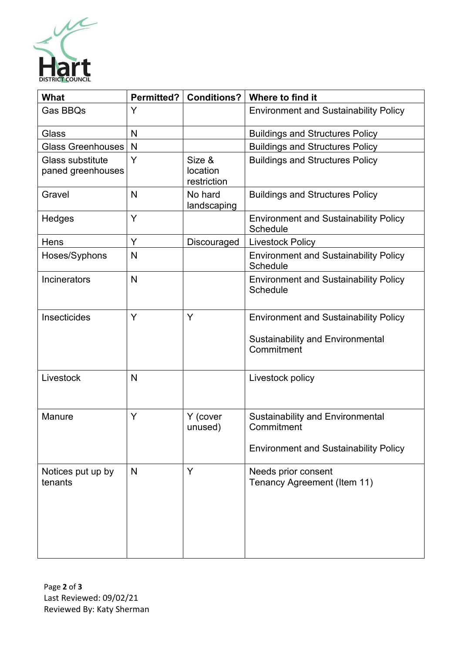

| <b>What</b>                                  | <b>Permitted?</b> | <b>Conditions?</b>                | Where to find it                                                                                      |
|----------------------------------------------|-------------------|-----------------------------------|-------------------------------------------------------------------------------------------------------|
| Gas BBQs                                     | Y                 |                                   | <b>Environment and Sustainability Policy</b>                                                          |
| Glass                                        | N                 |                                   | <b>Buildings and Structures Policy</b>                                                                |
| <b>Glass Greenhouses</b>                     | $\mathsf{N}$      |                                   | <b>Buildings and Structures Policy</b>                                                                |
| <b>Glass substitute</b><br>paned greenhouses | Y                 | Size &<br>location<br>restriction | <b>Buildings and Structures Policy</b>                                                                |
| Gravel                                       | N                 | No hard<br>landscaping            | <b>Buildings and Structures Policy</b>                                                                |
| Hedges                                       | Y                 |                                   | <b>Environment and Sustainability Policy</b><br>Schedule                                              |
| Hens                                         | Y                 | Discouraged                       | <b>Livestock Policy</b>                                                                               |
| Hoses/Syphons                                | N                 |                                   | <b>Environment and Sustainability Policy</b><br><b>Schedule</b>                                       |
| <b>Incinerators</b>                          | $\mathsf{N}$      |                                   | <b>Environment and Sustainability Policy</b><br>Schedule                                              |
| <b>Insecticides</b>                          | Y                 | Y                                 | <b>Environment and Sustainability Policy</b><br><b>Sustainability and Environmental</b><br>Commitment |
| Livestock                                    | N                 |                                   | Livestock policy                                                                                      |
| Manure                                       | Y                 | Y (cover<br>unused)               | <b>Sustainability and Environmental</b><br>Commitment<br><b>Environment and Sustainability Policy</b> |
| Notices put up by<br>tenants                 | N                 | Y                                 | Needs prior consent<br>Tenancy Agreement (Item 11)                                                    |